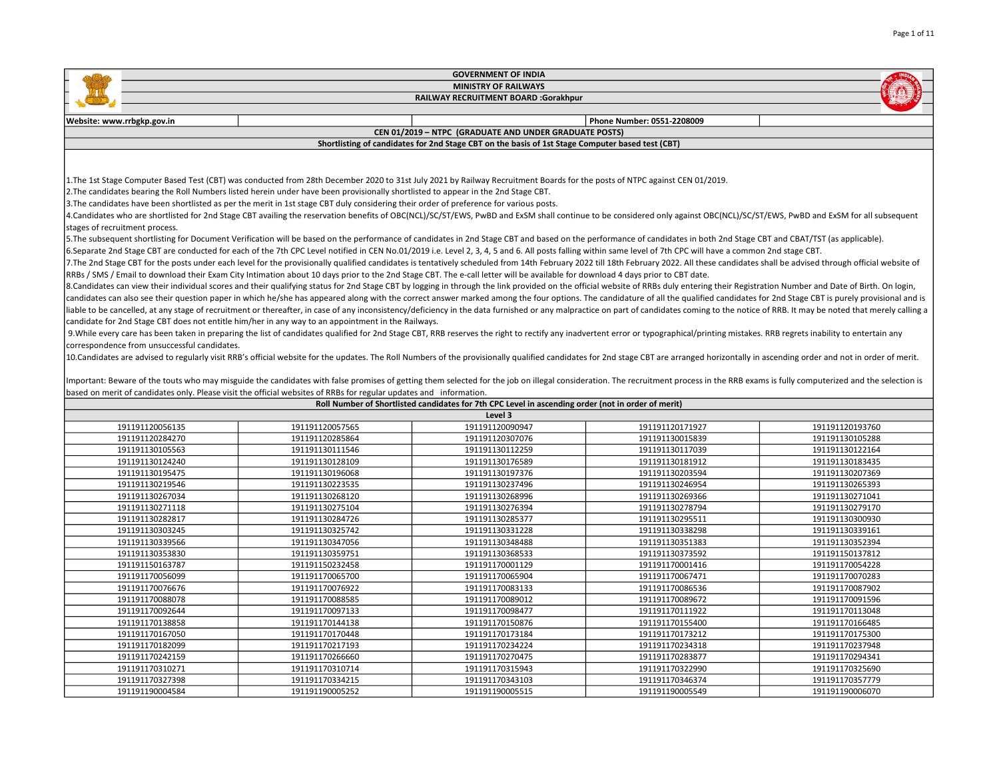|                                                                                                                                                                                                                                |                                                                                                                                                                                                                                | <b>GOVERNMENT OF INDIA</b>                                                                         |                            |                 |  |
|--------------------------------------------------------------------------------------------------------------------------------------------------------------------------------------------------------------------------------|--------------------------------------------------------------------------------------------------------------------------------------------------------------------------------------------------------------------------------|----------------------------------------------------------------------------------------------------|----------------------------|-----------------|--|
|                                                                                                                                                                                                                                |                                                                                                                                                                                                                                | <b>MINISTRY OF RAILWAYS</b>                                                                        |                            |                 |  |
|                                                                                                                                                                                                                                | <b>RAILWAY RECRUITMENT BOARD :Gorakhpur</b>                                                                                                                                                                                    |                                                                                                    |                            |                 |  |
|                                                                                                                                                                                                                                |                                                                                                                                                                                                                                |                                                                                                    |                            |                 |  |
| Website: www.rrbgkp.gov.in                                                                                                                                                                                                     |                                                                                                                                                                                                                                |                                                                                                    | Phone Number: 0551-2208009 |                 |  |
|                                                                                                                                                                                                                                |                                                                                                                                                                                                                                | CEN 01/2019 - NTPC (GRADUATE AND UNDER GRADUATE POSTS)                                             |                            |                 |  |
|                                                                                                                                                                                                                                |                                                                                                                                                                                                                                | Shortlisting of candidates for 2nd Stage CBT on the basis of 1st Stage Computer based test (CBT)   |                            |                 |  |
|                                                                                                                                                                                                                                |                                                                                                                                                                                                                                |                                                                                                    |                            |                 |  |
|                                                                                                                                                                                                                                |                                                                                                                                                                                                                                |                                                                                                    |                            |                 |  |
|                                                                                                                                                                                                                                | 1. The 1st Stage Computer Based Test (CBT) was conducted from 28th December 2020 to 31st July 2021 by Railway Recruitment Boards for the posts of NTPC against CEN 01/2019.                                                    |                                                                                                    |                            |                 |  |
|                                                                                                                                                                                                                                | 2. The candidates bearing the Roll Numbers listed herein under have been provisionally shortlisted to appear in the 2nd Stage CBT.                                                                                             |                                                                                                    |                            |                 |  |
|                                                                                                                                                                                                                                | 3. The candidates have been shortlisted as per the merit in 1st stage CBT duly considering their order of preference for various posts.                                                                                        |                                                                                                    |                            |                 |  |
|                                                                                                                                                                                                                                | 4. Candidates who are shortlisted for 2nd Stage CBT availing the reservation benefits of OBC(NCL)/SC/ST/EWS, PwBD and ExSM shall continue to be considered only against OBC(NCL)/SC/ST/EWS, PwBD and ExSM for all subsequent   |                                                                                                    |                            |                 |  |
| stages of recruitment process.                                                                                                                                                                                                 |                                                                                                                                                                                                                                |                                                                                                    |                            |                 |  |
|                                                                                                                                                                                                                                | 5. The subsequent shortlisting for Document Verification will be based on the performance of candidates in 2nd Stage CBT and based on the performance of candidates in both 2nd Stage CBT and CBAT/TST (as applicable).        |                                                                                                    |                            |                 |  |
| 6.Separate 2nd Stage CBT are conducted for each of the 7th CPC Level notified in CEN No.01/2019 i.e. Level 2, 3, 4, 5 and 6. All posts falling within same level of 7th CPC will have a common 2nd stage CBT.                  |                                                                                                                                                                                                                                |                                                                                                    |                            |                 |  |
|                                                                                                                                                                                                                                | 7. The 2nd Stage CBT for the posts under each level for the provisionally qualified candidates is tentatively scheduled from 14th February 2022 till 18th February 2022. All these candidates shall be advised through officia |                                                                                                    |                            |                 |  |
|                                                                                                                                                                                                                                | RRBs / SMS / Email to download their Exam City Intimation about 10 days prior to the 2nd Stage CBT. The e-call letter will be available for download 4 days prior to CBT date.                                                 |                                                                                                    |                            |                 |  |
| 8. Candidates can view their individual scores and their qualifying status for 2nd Stage CBT by logging in through the link provided on the official website of RRBs duly entering their Registration Number and Date of Birth |                                                                                                                                                                                                                                |                                                                                                    |                            |                 |  |
|                                                                                                                                                                                                                                | candidates can also see their question paper in which he/she has appeared along with the correct answer marked among the four options. The candidature of all the qualified candidates for 2nd Stage CBT is purely provisional |                                                                                                    |                            |                 |  |
|                                                                                                                                                                                                                                | liable to be cancelled, at any stage of recruitment or thereafter, in case of any inconsistency/deficiency in the data furnished or any malpractice on part of candidates coming to the notice of RRB. It may be noted that me |                                                                                                    |                            |                 |  |
|                                                                                                                                                                                                                                | candidate for 2nd Stage CBT does not entitle him/her in any way to an appointment in the Railways.                                                                                                                             |                                                                                                    |                            |                 |  |
|                                                                                                                                                                                                                                | 9. While every care has been taken in preparing the list of candidates qualified for 2nd Stage CBT, RRB reserves the right to rectify any inadvertent error or typographical/printing mistakes. RRB regrets inability to enter |                                                                                                    |                            |                 |  |
| correspondence from unsuccessful candidates.                                                                                                                                                                                   |                                                                                                                                                                                                                                |                                                                                                    |                            |                 |  |
|                                                                                                                                                                                                                                | 10. Candidates are advised to regularly visit RRB's official website for the updates. The Roll Numbers of the provisionally qualified candidates for 2nd stage CBT are arranged horizontally in ascending order and not in ord |                                                                                                    |                            |                 |  |
|                                                                                                                                                                                                                                |                                                                                                                                                                                                                                |                                                                                                    |                            |                 |  |
| Important: Beware of the touts who may misguide the candidates with false promises of getting them selected for the job on illegal consideration. The recruitment process in the RRB exams is fully computerized and the selec |                                                                                                                                                                                                                                |                                                                                                    |                            |                 |  |
| based on merit of candidates only. Please visit the official websites of RRBs for regular updates and information.                                                                                                             |                                                                                                                                                                                                                                |                                                                                                    |                            |                 |  |
|                                                                                                                                                                                                                                |                                                                                                                                                                                                                                | Roll Number of Shortlisted candidates for 7th CPC Level in ascending order (not in order of merit) |                            |                 |  |
|                                                                                                                                                                                                                                |                                                                                                                                                                                                                                | Level 3                                                                                            |                            |                 |  |
| 191191120056135                                                                                                                                                                                                                | 191191120057565                                                                                                                                                                                                                | 191191120090947                                                                                    | 191191120171927            | 191191120193760 |  |
| 191191120284270                                                                                                                                                                                                                | 191191120285864                                                                                                                                                                                                                | 191191120307076                                                                                    | 191191130015839            | 191191130105288 |  |
| 191191130105563                                                                                                                                                                                                                | 191191130111546                                                                                                                                                                                                                | 191191130112259                                                                                    | 191191130117039            | 191191130122164 |  |
| 191191130124240                                                                                                                                                                                                                | 191191130128109                                                                                                                                                                                                                | 191191130176589                                                                                    | 191191130181912            | 191191130183435 |  |
| 191191130195475                                                                                                                                                                                                                | 191191130196068                                                                                                                                                                                                                | 191191130197376                                                                                    | 191191130203594            | 191191130207369 |  |
| 191191130219546                                                                                                                                                                                                                | 191191130223535                                                                                                                                                                                                                | 191191130237496                                                                                    | 191191130246954            | 191191130265393 |  |
| 191191130267034                                                                                                                                                                                                                | 191191130268120                                                                                                                                                                                                                | 191191130268996                                                                                    | 191191130269366            | 191191130271041 |  |
| 191191130271118                                                                                                                                                                                                                | 191191130275104                                                                                                                                                                                                                | 191191130276394                                                                                    | 191191130278794            | 191191130279170 |  |

| 191191130219546 | 191191130223535 | 191191130237496 | 191191130246954 | 191191130265393 |
|-----------------|-----------------|-----------------|-----------------|-----------------|
| 191191130267034 | 191191130268120 | 191191130268996 | 191191130269366 | 191191130271041 |
| 191191130271118 | 191191130275104 | 191191130276394 | 191191130278794 | 191191130279170 |
| 191191130282817 | 191191130284726 | 191191130285377 | 191191130295511 | 191191130300930 |
| 191191130303245 | 191191130325742 | 191191130331228 | 191191130338298 | 191191130339161 |
| 191191130339566 | 191191130347056 | 191191130348488 | 191191130351383 | 191191130352394 |
| 191191130353830 | 191191130359751 | 191191130368533 | 191191130373592 | 191191150137812 |
| 191191150163787 | 191191150232458 | 191191170001129 | 191191170001416 | 191191170054228 |
| 191191170056099 | 191191170065700 | 191191170065904 | 191191170067471 | 191191170070283 |
| 191191170076676 | 191191170076922 | 191191170083133 | 191191170086536 | 191191170087902 |
| 191191170088078 | 191191170088585 | 191191170089012 | 191191170089672 | 191191170091596 |
| 191191170092644 | 191191170097133 | 191191170098477 | 191191170111922 | 191191170113048 |
| 191191170138858 | 191191170144138 | 191191170150876 | 191191170155400 | 191191170166485 |
| 191191170167050 | 191191170170448 | 191191170173184 | 191191170173212 | 191191170175300 |
| 191191170182099 | 191191170217193 | 191191170234224 | 191191170234318 | 191191170237948 |
| 191191170242159 | 191191170266660 | 191191170270475 | 191191170283877 | 191191170294341 |
| 191191170310271 | 191191170310714 | 191191170315943 | 191191170322990 | 191191170325690 |
| 191191170327398 | 191191170334215 | 191191170343103 | 191191170346374 | 191191170357779 |
| 191191190004584 | 191191190005252 | 191191190005515 | 191191190005549 | 191191190006070 |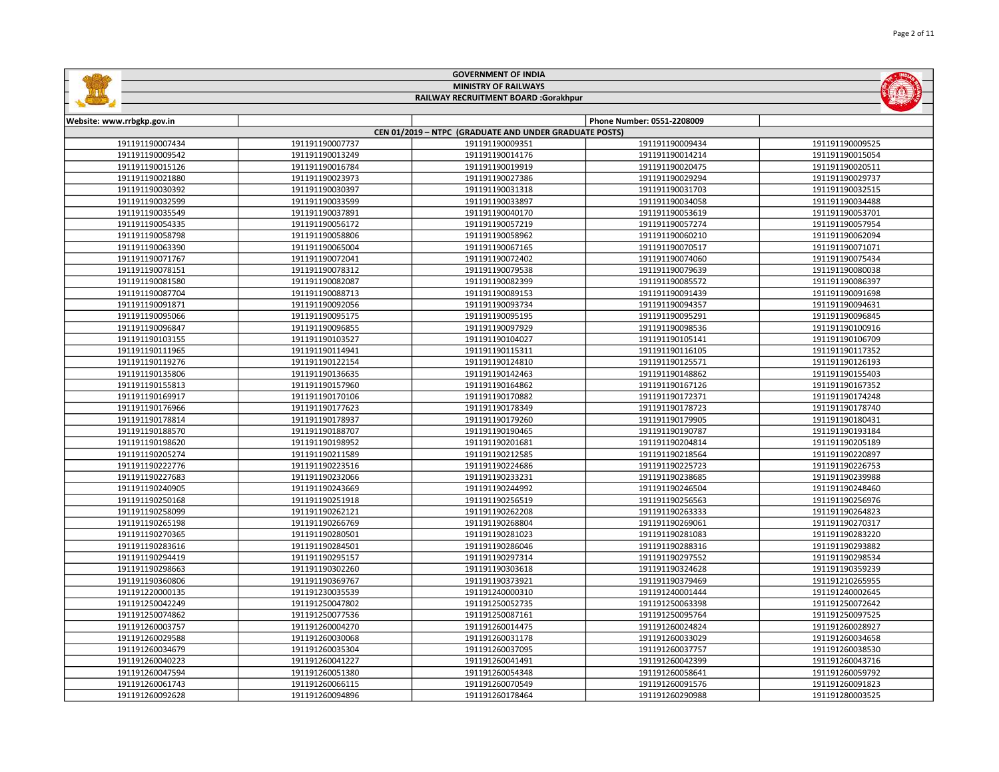|                            |                                    | <b>GOVERNMENT OF INDIA</b>                             |                                    |                                    |  |
|----------------------------|------------------------------------|--------------------------------------------------------|------------------------------------|------------------------------------|--|
|                            | <b>MINISTRY OF RAILWAYS</b>        |                                                        |                                    |                                    |  |
|                            |                                    | RAILWAY RECRUITMENT BOARD :Gorakhpur                   |                                    |                                    |  |
|                            |                                    |                                                        |                                    |                                    |  |
| Website: www.rrbgkp.gov.in |                                    |                                                        | Phone Number: 0551-2208009         |                                    |  |
|                            |                                    | CEN 01/2019 - NTPC (GRADUATE AND UNDER GRADUATE POSTS) |                                    |                                    |  |
| 191191190007434            | 191191190007737                    | 191191190009351                                        | 191191190009434                    | 191191190009525                    |  |
| 191191190009542            | 191191190013249                    | 191191190014176                                        | 191191190014214                    | 191191190015054                    |  |
| 191191190015126            | 191191190016784                    | 191191190019919                                        | 191191190020475                    | 191191190020511                    |  |
| 191191190021880            | 191191190023973                    | 191191190027386                                        | 191191190029294                    | 191191190029737                    |  |
| 191191190030392            | 191191190030397                    | 191191190031318                                        | 191191190031703                    | 191191190032515                    |  |
| 191191190032599            | 191191190033599                    | 191191190033897                                        | 191191190034058                    | 191191190034488                    |  |
| 191191190035549            | 191191190037891                    | 191191190040170                                        | 191191190053619                    | 191191190053701                    |  |
| 191191190054335            | 191191190056172                    | 191191190057219                                        | 191191190057274                    | 191191190057954                    |  |
| 191191190058798            | 191191190058806                    | 191191190058962                                        | 191191190060210                    | 191191190062094                    |  |
| 191191190063390            | 191191190065004                    | 191191190067165                                        | 191191190070517                    | 191191190071071                    |  |
| 191191190071767            | 191191190072041                    | 191191190072402                                        | 191191190074060                    | 191191190075434                    |  |
| 191191190078151            | 191191190078312                    | 191191190079538                                        | 191191190079639                    | 191191190080038                    |  |
| 191191190081580            | 191191190082087                    | 191191190082399                                        | 191191190085572                    | 191191190086397                    |  |
| 191191190087704            | 191191190088713                    | 191191190089153                                        | 191191190091439                    | 191191190091698                    |  |
| 191191190091871            | 191191190092056                    | 191191190093734                                        | 191191190094357                    | 191191190094631                    |  |
| 191191190095066            | 191191190095175                    | 191191190095195                                        | 191191190095291                    | 191191190096845                    |  |
| 191191190096847            | 191191190096855                    | 191191190097929                                        | 191191190098536                    | 191191190100916                    |  |
| 191191190103155            | 191191190103527                    | 191191190104027                                        | 191191190105141                    | 191191190106709                    |  |
| 191191190111965            | 191191190114941                    | 191191190115311                                        | 191191190116105                    | 191191190117352                    |  |
| 191191190119276            | 191191190122154                    | 191191190124810                                        | 191191190125571                    | 191191190126193                    |  |
| 191191190135806            | 191191190136635                    | 191191190142463                                        | 191191190148862                    | 191191190155403                    |  |
| 191191190155813            | 191191190157960                    | 191191190164862                                        | 191191190167126                    | 191191190167352                    |  |
| 191191190169917            | 191191190170106                    | 191191190170882                                        | 191191190172371                    | 191191190174248                    |  |
| 191191190176966            | 191191190177623                    | 191191190178349                                        | 191191190178723                    | 191191190178740                    |  |
| 191191190178814            | 191191190178937                    | 191191190179260                                        | 191191190179905                    | 191191190180431                    |  |
| 191191190188570            | 191191190188707                    | 191191190190465                                        | 191191190190787                    | 191191190193184                    |  |
| 191191190198620            | 191191190198952                    | 191191190201681                                        | 191191190204814                    | 191191190205189                    |  |
| 191191190205274            | 191191190211589                    | 191191190212585                                        | 191191190218564                    | 191191190220897                    |  |
| 191191190222776            | 191191190223516                    | 191191190224686                                        | 191191190225723                    | 191191190226753                    |  |
| 191191190227683            |                                    |                                                        |                                    |                                    |  |
| 191191190240905            | 191191190232066<br>191191190243669 | 191191190233231<br>191191190244992                     | 191191190238685<br>191191190246504 | 191191190239988<br>191191190248460 |  |
|                            |                                    |                                                        |                                    |                                    |  |
| 191191190250168            | 191191190251918                    | 191191190256519                                        | 191191190256563                    | 191191190256976                    |  |
| 191191190258099            | 191191190262121                    | 191191190262208                                        | 191191190263333                    | 191191190264823                    |  |
| 191191190265198            | 191191190266769                    | 191191190268804                                        | 191191190269061                    | 191191190270317                    |  |
| 191191190270365            | 191191190280501                    | 191191190281023                                        | 191191190281083                    | 191191190283220                    |  |
| 191191190283616            | 191191190284501                    | 191191190286046                                        | 191191190288316                    | 191191190293882                    |  |
| 191191190294419            | 191191190295157                    | 191191190297314                                        | 191191190297552                    | 191191190298534                    |  |
| 191191190298663            | 191191190302260                    | 191191190303618                                        | 191191190324628                    | 191191190359239                    |  |
| 191191190360806            | 191191190369767                    | 191191190373921                                        | 191191190379469                    | 191191210265955                    |  |
| 191191220000135            | 191191230035539                    | 191191240000310                                        | 191191240001444                    | 191191240002645                    |  |
| 191191250042249            | 191191250047802                    | 191191250052735                                        | 191191250063398                    | 191191250072642                    |  |
| 191191250074862            | 191191250077536                    | 191191250087161                                        | 191191250095764                    | 191191250097525                    |  |
| 191191260003757            | 191191260004270                    | 191191260014475                                        | 191191260024824                    | 191191260028927                    |  |
| 191191260029588            | 191191260030068                    | 191191260031178                                        | 191191260033029                    | 191191260034658                    |  |
| 191191260034679            | 191191260035304                    | 191191260037095                                        | 191191260037757                    | 191191260038530                    |  |
| 191191260040223            | 191191260041227                    | 191191260041491                                        | 191191260042399                    | 191191260043716                    |  |
| 191191260047594            | 191191260051380                    | 191191260054348                                        | 191191260058641                    | 191191260059792                    |  |
| 191191260061743            | 191191260066115                    | 191191260070549                                        | 191191260091576                    | 191191260091823                    |  |
| 191191260092628            | 191191260094896                    | 191191260178464                                        | 191191260290988                    | 191191280003525                    |  |

GOVERNMENT OF INDIA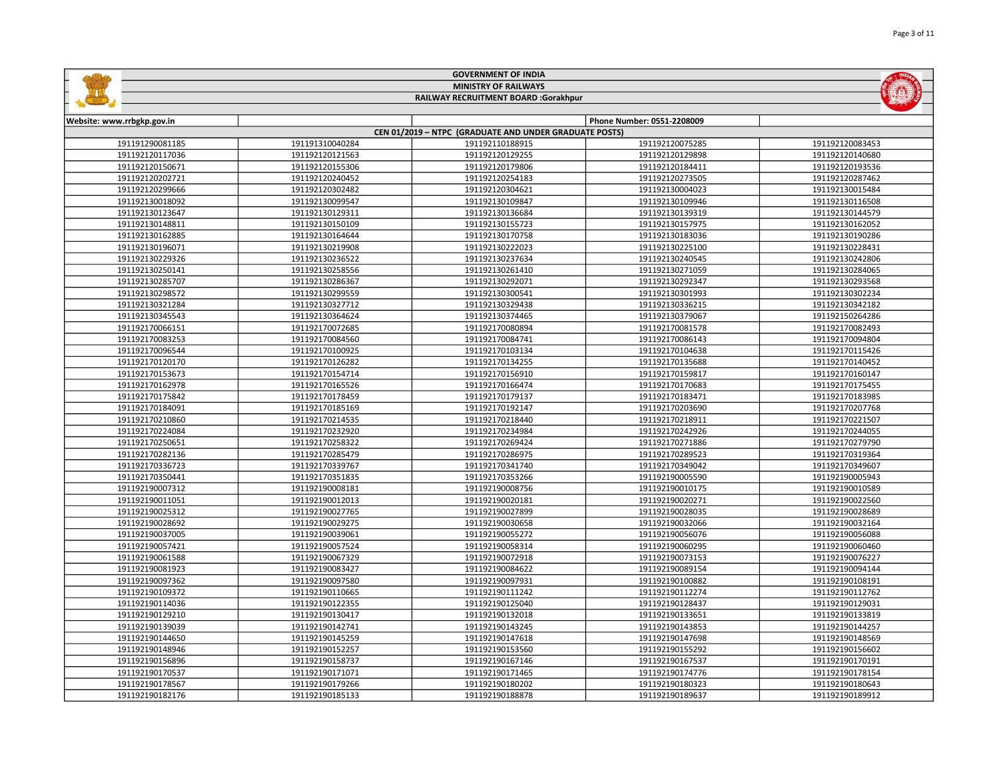|                            |                             | <b>GOVERNMENT OF INDIA</b>                             |                            |                 |  |
|----------------------------|-----------------------------|--------------------------------------------------------|----------------------------|-----------------|--|
|                            | <b>MINISTRY OF RAILWAYS</b> |                                                        |                            |                 |  |
|                            |                             | RAILWAY RECRUITMENT BOARD :Gorakhpur                   |                            |                 |  |
|                            |                             |                                                        |                            |                 |  |
| Website: www.rrbgkp.gov.in |                             |                                                        | Phone Number: 0551-2208009 |                 |  |
|                            |                             | CEN 01/2019 - NTPC (GRADUATE AND UNDER GRADUATE POSTS) |                            |                 |  |
| 191191290081185            | 191191310040284             | 191192110188915                                        | 191192120075285            | 191192120083453 |  |
| 191192120117036            | 191192120121563             | 191192120129255                                        | 191192120129898            | 191192120140680 |  |
| 191192120150671            | 191192120155306             | 191192120179806                                        | 191192120184411            | 191192120193536 |  |
| 191192120202721            | 191192120240452             | 191192120254183                                        | 191192120273505            | 191192120287462 |  |
| 191192120299666            | 191192120302482             | 191192120304621                                        | 191192130004023            | 191192130015484 |  |
| 191192130018092            | 191192130099547             | 191192130109847                                        | 191192130109946            | 191192130116508 |  |
| 191192130123647            | 191192130129311             | 191192130136684                                        | 191192130139319            | 191192130144579 |  |
| 191192130148811            | 191192130150109             | 191192130155723                                        | 191192130157975            | 191192130162052 |  |
| 191192130162885            | 191192130164644             | 191192130170758                                        | 191192130183036            | 191192130190286 |  |
| 191192130196071            | 191192130219908             | 191192130222023                                        | 191192130225100            | 191192130228431 |  |
| 191192130229326            | 191192130236522             | 191192130237634                                        | 191192130240545            | 191192130242806 |  |
| 191192130250141            | 191192130258556             | 191192130261410                                        | 191192130271059            | 191192130284065 |  |
| 191192130285707            | 191192130286367             | 191192130292071                                        | 191192130292347            | 191192130293568 |  |
| 191192130298572            | 191192130299559             | 191192130300541                                        | 191192130301993            | 191192130302234 |  |
| 191192130321284            | 191192130327712             | 191192130329438                                        | 191192130336215            | 191192130342182 |  |
| 191192130345543            | 191192130364624             | 191192130374465                                        | 191192130379067            | 191192150264286 |  |
| 191192170066151            | 191192170072685             | 191192170080894                                        | 191192170081578            | 191192170082493 |  |
| 191192170083253            | 191192170084560             | 191192170084741                                        | 191192170086143            | 191192170094804 |  |
| 191192170096544            | 191192170100925             | 191192170103134                                        | 191192170104638            | 191192170115426 |  |
| 191192170120170            | 191192170126282             | 191192170134255                                        | 191192170135688            | 191192170140452 |  |
| 191192170153673            | 191192170154714             | 191192170156910                                        | 191192170159817            | 191192170160147 |  |
| 191192170162978            | 191192170165526             | 191192170166474                                        | 191192170170683            | 191192170175455 |  |
| 191192170175842            | 191192170178459             | 191192170179137                                        | 191192170183471            | 191192170183985 |  |
| 191192170184091            | 191192170185169             | 191192170192147                                        | 191192170203690            | 191192170207768 |  |
| 191192170210860            | 191192170214535             | 191192170218440                                        | 191192170218911            | 191192170221507 |  |
| 191192170224084            | 191192170232920             | 191192170234984                                        | 191192170242926            | 191192170244055 |  |
| 191192170250651            | 191192170258322             | 191192170269424                                        | 191192170271886            | 191192170279790 |  |
| 191192170282136            | 191192170285479             | 191192170286975                                        | 191192170289523            | 191192170319364 |  |
| 191192170336723            | 191192170339767             | 191192170341740                                        | 191192170349042            | 191192170349607 |  |
| 191192170350441            | 191192170351835             | 191192170353266                                        | 191192190005590            | 191192190005943 |  |
| 191192190007312            | 191192190008181             | 191192190008756                                        | 191192190010175            | 191192190010589 |  |
| 191192190011051            | 191192190012013             | 191192190020181                                        | 191192190020271            | 191192190022560 |  |
| 191192190025312            | 191192190027765             | 191192190027899                                        | 191192190028035            | 191192190028689 |  |
| 191192190028692            | 191192190029275             | 191192190030658                                        | 191192190032066            | 191192190032164 |  |
| 191192190037005            | 191192190039061             | 191192190055272                                        | 191192190056076            | 191192190056088 |  |
| 191192190057421            | 191192190057524             | 191192190058314                                        | 191192190060295            | 191192190060460 |  |
| 191192190061588            | 191192190067329             | 191192190072918                                        | 191192190073153            | 191192190076227 |  |
| 191192190081923            | 191192190083427             | 191192190084622                                        | 191192190089154            | 191192190094144 |  |
| 191192190097362            | 191192190097580             | 191192190097931                                        | 191192190100882            | 191192190108191 |  |
| 191192190109372            | 191192190110665             | 191192190111242                                        | 191192190112274            | 191192190112762 |  |
| 191192190114036            | 191192190122355             | 191192190125040                                        | 191192190128437            | 191192190129031 |  |
| 191192190129210            | 191192190130417             | 191192190132018                                        | 191192190133651            | 191192190133819 |  |
| 191192190139039            | 191192190142741             | 191192190143245                                        | 191192190143853            | 191192190144257 |  |
| 191192190144650            | 191192190145259             | 191192190147618                                        | 191192190147698            | 191192190148569 |  |
| 191192190148946            | 191192190152257             | 191192190153560                                        | 191192190155292            | 191192190156602 |  |
| 191192190156896            | 191192190158737             | 191192190167146                                        | 191192190167537            | 191192190170191 |  |
| 191192190170537            | 191192190171071             | 191192190171465                                        | 191192190174776            | 191192190178154 |  |
| 191192190178567            | 191192190179266             | 191192190180202                                        | 191192190180323            | 191192190180643 |  |
| 191192190182176            | 191192190185133             | 191192190188878                                        | 191192190189637            | 191192190189912 |  |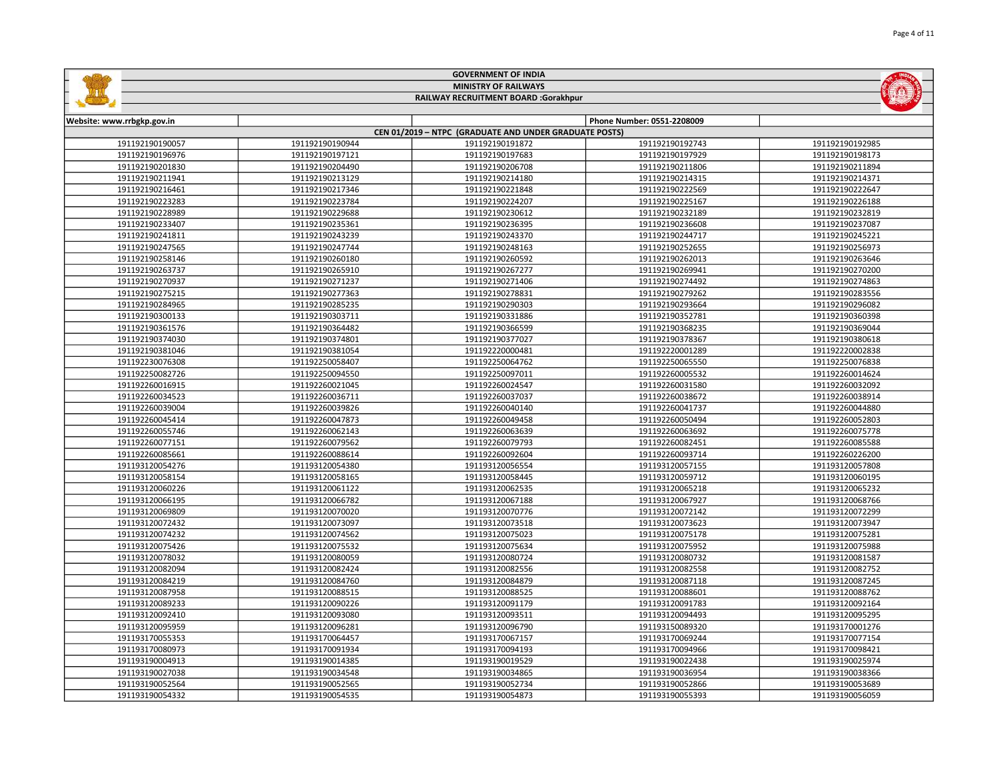|                            |                 | <b>GOVERNMENT OF INDIA</b>                             |                            |                 |
|----------------------------|-----------------|--------------------------------------------------------|----------------------------|-----------------|
|                            |                 | <b>MINISTRY OF RAILWAYS</b>                            |                            |                 |
|                            |                 | RAILWAY RECRUITMENT BOARD :Gorakhpur                   |                            |                 |
|                            |                 |                                                        |                            |                 |
| Website: www.rrbgkp.gov.in |                 | CEN 01/2019 - NTPC (GRADUATE AND UNDER GRADUATE POSTS) | Phone Number: 0551-2208009 |                 |
| 191192190190057            | 191192190190944 | 191192190191872                                        | 191192190192743            | 191192190192985 |
| 191192190196976            | 191192190197121 | 191192190197683                                        | 191192190197929            | 191192190198173 |
| 191192190201830            | 191192190204490 | 191192190206708                                        | 191192190211806            | 191192190211894 |
| 191192190211941            | 191192190213129 | 191192190214180                                        | 191192190214315            | 191192190214371 |
| 191192190216461            | 191192190217346 | 191192190221848                                        | 191192190222569            | 191192190222647 |
| 191192190223283            | 191192190223784 | 191192190224207                                        | 191192190225167            | 191192190226188 |
| 191192190228989            | 191192190229688 | 191192190230612                                        | 191192190232189            | 191192190232819 |
| 191192190233407            | 191192190235361 | 191192190236395                                        | 191192190236608            | 191192190237087 |
| 191192190241811            | 191192190243239 | 191192190243370                                        | 191192190244717            | 191192190245221 |
| 191192190247565            | 191192190247744 | 191192190248163                                        | 191192190252655            | 191192190256973 |
| 191192190258146            | 191192190260180 | 191192190260592                                        | 191192190262013            | 191192190263646 |
| 191192190263737            | 191192190265910 | 191192190267277                                        | 191192190269941            | 191192190270200 |
| 191192190270937            | 191192190271237 | 191192190271406                                        | 191192190274492            | 191192190274863 |
| 191192190275215            | 191192190277363 | 191192190278831                                        | 191192190279262            | 191192190283556 |
| 191192190284965            | 191192190285235 | 191192190290303                                        | 191192190293664            | 191192190296082 |
| 191192190300133            | 191192190303711 | 191192190331886                                        | 191192190352781            | 191192190360398 |
| 191192190361576            | 191192190364482 | 191192190366599                                        | 191192190368235            | 191192190369044 |
| 191192190374030            | 191192190374801 | 191192190377027                                        | 191192190378367            | 191192190380618 |
| 191192190381046            | 191192190381054 | 191192220000481                                        | 191192220001289            | 191192220002838 |
| 191192230076308            | 191192250058407 | 191192250064762                                        | 191192250065550            | 191192250076838 |
| 191192250082726            | 191192250094550 | 191192250097011                                        | 191192260005532            | 191192260014624 |
| 191192260016915            | 191192260021045 | 191192260024547                                        | 191192260031580            | 191192260032092 |
| 191192260034523            | 191192260036711 | 191192260037037                                        | 191192260038672            | 191192260038914 |
| 191192260039004            | 191192260039826 | 191192260040140                                        | 191192260041737            | 191192260044880 |
| 191192260045414            | 191192260047873 | 191192260049458                                        | 191192260050494            | 191192260052803 |
| 191192260055746            | 191192260062143 | 191192260063639                                        | 191192260063692            | 191192260075778 |
| 191192260077151            | 191192260079562 | 191192260079793                                        | 191192260082451            | 191192260085588 |
| 191192260085661            | 191192260088614 | 191192260092604                                        | 191192260093714            | 191192260226200 |
| 191193120054276            | 191193120054380 | 191193120056554                                        | 191193120057155            | 191193120057808 |
| 191193120058154            | 191193120058165 | 191193120058445                                        | 191193120059712            | 191193120060195 |
| 191193120060226            | 191193120061122 | 191193120062535                                        | 191193120065218            | 191193120065232 |
| 191193120066195            | 191193120066782 | 191193120067188                                        | 191193120067927            | 191193120068766 |
| 191193120069809            | 191193120070020 | 191193120070776                                        | 191193120072142            | 191193120072299 |
| 191193120072432            | 191193120073097 | 191193120073518                                        | 191193120073623            | 191193120073947 |
| 191193120074232            | 191193120074562 | 191193120075023                                        | 191193120075178            | 191193120075281 |
| 191193120075426            | 191193120075532 | 191193120075634                                        | 191193120075952            | 191193120075988 |
| 191193120078032            | 191193120080059 | 191193120080724                                        | 191193120080732            | 191193120081587 |
| 191193120082094            | 191193120082424 | 191193120082556                                        | 191193120082558            | 191193120082752 |
| 191193120084219            | 191193120084760 | 191193120084879                                        | 191193120087118            | 191193120087245 |
| 191193120087958            | 191193120088515 | 191193120088525                                        | 191193120088601            | 191193120088762 |
| 191193120089233            | 191193120090226 | 191193120091179                                        | 191193120091783            | 191193120092164 |
| 191193120092410            | 191193120093080 | 191193120093511                                        | 191193120094493            | 191193120095295 |
| 191193120095959            | 191193120096281 | 191193120096790                                        | 191193150089320            | 191193170001276 |
| 191193170055353            | 191193170064457 | 191193170067157                                        | 191193170069244            | 191193170077154 |
| 191193170080973            | 191193170091934 | 191193170094193                                        | 191193170094966            | 191193170098421 |
| 191193190004913            | 191193190014385 | 191193190019529                                        | 191193190022438            | 191193190025974 |
| 191193190027038            | 191193190034548 | 191193190034865                                        | 191193190036954            | 191193190038366 |
| 191193190052564            | 191193190052565 | 191193190052734                                        | 191193190052866            | 191193190053689 |
| 191193190054332            | 191193190054535 | 191193190054873                                        | 191193190055393            | 191193190056059 |
|                            |                 |                                                        |                            |                 |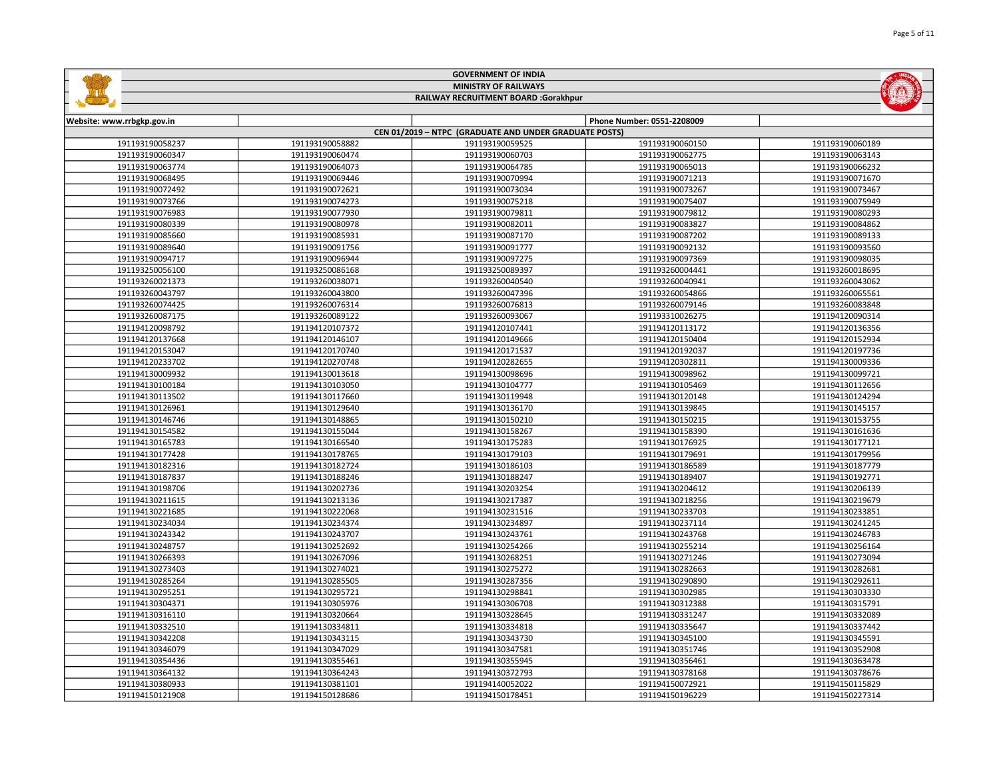|                                    |                                    | <b>GOVERNMENT OF INDIA</b>                             |                                    |                                    |  |  |
|------------------------------------|------------------------------------|--------------------------------------------------------|------------------------------------|------------------------------------|--|--|
|                                    | <b>MINISTRY OF RAILWAYS</b>        |                                                        |                                    |                                    |  |  |
|                                    |                                    | RAILWAY RECRUITMENT BOARD :Gorakhpur                   |                                    |                                    |  |  |
|                                    |                                    |                                                        |                                    |                                    |  |  |
| Website: www.rrbgkp.gov.in         |                                    |                                                        | Phone Number: 0551-2208009         |                                    |  |  |
|                                    |                                    | CEN 01/2019 - NTPC (GRADUATE AND UNDER GRADUATE POSTS) |                                    |                                    |  |  |
| 191193190058237                    | 191193190058882                    | 191193190059525                                        | 191193190060150                    | 191193190060189                    |  |  |
| 191193190060347                    | 191193190060474                    | 191193190060703                                        | 191193190062775                    | 191193190063143                    |  |  |
| 191193190063774                    | 191193190064073                    | 191193190064785                                        | 191193190065013                    | 191193190066232                    |  |  |
| 191193190068495                    | 191193190069446                    | 191193190070994                                        | 191193190071213                    | 191193190071670                    |  |  |
| 191193190072492                    | 191193190072621                    | 191193190073034                                        | 191193190073267                    | 191193190073467                    |  |  |
| 191193190073766                    | 191193190074273                    | 191193190075218                                        | 191193190075407                    | 191193190075949                    |  |  |
| 191193190076983                    | 191193190077930                    | 191193190079811                                        | 191193190079812                    | 191193190080293                    |  |  |
| 191193190080339                    | 191193190080978                    | 191193190082011                                        | 191193190083827                    | 191193190084862                    |  |  |
| 191193190085660                    | 191193190085931                    | 191193190087170                                        | 191193190087202                    | 191193190089133                    |  |  |
| 191193190089640                    | 191193190091756                    | 191193190091777                                        | 191193190092132                    | 191193190093560                    |  |  |
| 191193190094717                    | 191193190096944                    | 191193190097275                                        | 191193190097369                    | 191193190098035                    |  |  |
| 191193250056100                    | 191193250086168                    | 191193250089397                                        | 191193260004441                    | 191193260018695                    |  |  |
| 191193260021373                    | 191193260038071                    | 191193260040540                                        | 191193260040941                    | 191193260043062                    |  |  |
| 191193260043797                    | 191193260043800                    | 191193260047396                                        | 191193260054866                    | 191193260065561                    |  |  |
| 191193260074425                    | 191193260076314                    | 191193260076813                                        | 191193260079146                    | 191193260083848                    |  |  |
| 191193260087175                    | 191193260089122                    | 191193260093067                                        | 191193310026275                    | 191194120090314                    |  |  |
| 191194120098792                    | 191194120107372                    | 191194120107441                                        | 191194120113172                    | 191194120136356                    |  |  |
| 191194120137668                    | 191194120146107                    | 191194120149666                                        | 191194120150404                    | 191194120152934                    |  |  |
| 191194120153047                    | 191194120170740                    | 191194120171537                                        | 191194120192037                    | 191194120197736                    |  |  |
| 191194120233702                    | 191194120270748                    | 191194120282655                                        | 191194120302811                    | 191194130009336                    |  |  |
| 191194130009932                    | 191194130013618                    | 191194130098696                                        | 191194130098962                    | 191194130099721                    |  |  |
| 191194130100184                    | 191194130103050                    | 191194130104777                                        | 191194130105469                    | 191194130112656                    |  |  |
| 191194130113502                    | 191194130117660                    | 191194130119948                                        | 191194130120148                    | 191194130124294                    |  |  |
| 191194130126961                    | 191194130129640                    | 191194130136170                                        | 191194130139845                    | 191194130145157                    |  |  |
| 191194130146746                    | 191194130148865                    | 191194130150210                                        | 191194130150215                    | 191194130153755                    |  |  |
| 191194130154582                    | 191194130155044                    | 191194130158267                                        | 191194130158390                    | 191194130161636                    |  |  |
| 191194130165783                    | 191194130166540                    | 191194130175283                                        | 191194130176925                    | 191194130177121                    |  |  |
| 191194130177428                    | 191194130178765                    | 191194130179103                                        | 191194130179691                    | 191194130179956                    |  |  |
| 191194130182316                    | 191194130182724                    | 191194130186103                                        | 191194130186589                    | 191194130187779                    |  |  |
| 191194130187837                    | 191194130188246                    | 191194130188247                                        | 191194130189407                    | 191194130192771                    |  |  |
| 191194130198706                    | 191194130202736                    | 191194130203254                                        | 191194130204612                    | 191194130206139                    |  |  |
| 191194130211615<br>191194130221685 | 191194130213136<br>191194130222068 | 191194130217387<br>191194130231516                     | 191194130218256<br>191194130233703 | 191194130219679<br>191194130233851 |  |  |
| 191194130234034                    | 191194130234374                    | 191194130234897                                        | 191194130237114                    | 191194130241245                    |  |  |
| 191194130243342                    | 191194130243707                    | 191194130243761                                        | 191194130243768                    |                                    |  |  |
| 191194130248757                    |                                    |                                                        |                                    | 191194130246783                    |  |  |
| 191194130266393                    | 191194130252692<br>191194130267096 | 191194130254266<br>191194130268251                     | 191194130255214<br>191194130271246 | 191194130256164<br>191194130273094 |  |  |
| 191194130273403                    |                                    |                                                        | 191194130282663                    |                                    |  |  |
|                                    | 191194130274021                    | 191194130275272<br>191194130287356                     |                                    | 191194130282681                    |  |  |
| 191194130285264<br>191194130295251 | 191194130285505<br>191194130295721 | 191194130298841                                        | 191194130290890<br>191194130302985 | 191194130292611                    |  |  |
| 191194130304371                    | 191194130305976                    | 191194130306708                                        | 191194130312388                    | 191194130303330<br>191194130315791 |  |  |
| 191194130316110                    | 191194130320664                    | 191194130328645                                        | 191194130331247                    | 191194130332089                    |  |  |
| 191194130332510                    | 191194130334811                    | 191194130334818                                        | 191194130335647                    | 191194130337442                    |  |  |
| 191194130342208                    | 191194130343115                    | 191194130343730                                        | 191194130345100                    | 191194130345591                    |  |  |
| 191194130346079                    | 191194130347029                    | 191194130347581                                        | 191194130351746                    | 191194130352908                    |  |  |
| 191194130354436                    | 191194130355461                    | 191194130355945                                        | 191194130356461                    | 191194130363478                    |  |  |
| 191194130364132                    | 191194130364243                    | 191194130372793                                        | 191194130378168                    | 191194130378676                    |  |  |
| 191194130380933                    | 191194130381101                    | 191194140052022                                        | 191194150072921                    | 191194150115829                    |  |  |
| 191194150121908                    | 191194150128686                    | 191194150178451                                        | 191194150196229                    | 191194150227314                    |  |  |
|                                    |                                    |                                                        |                                    |                                    |  |  |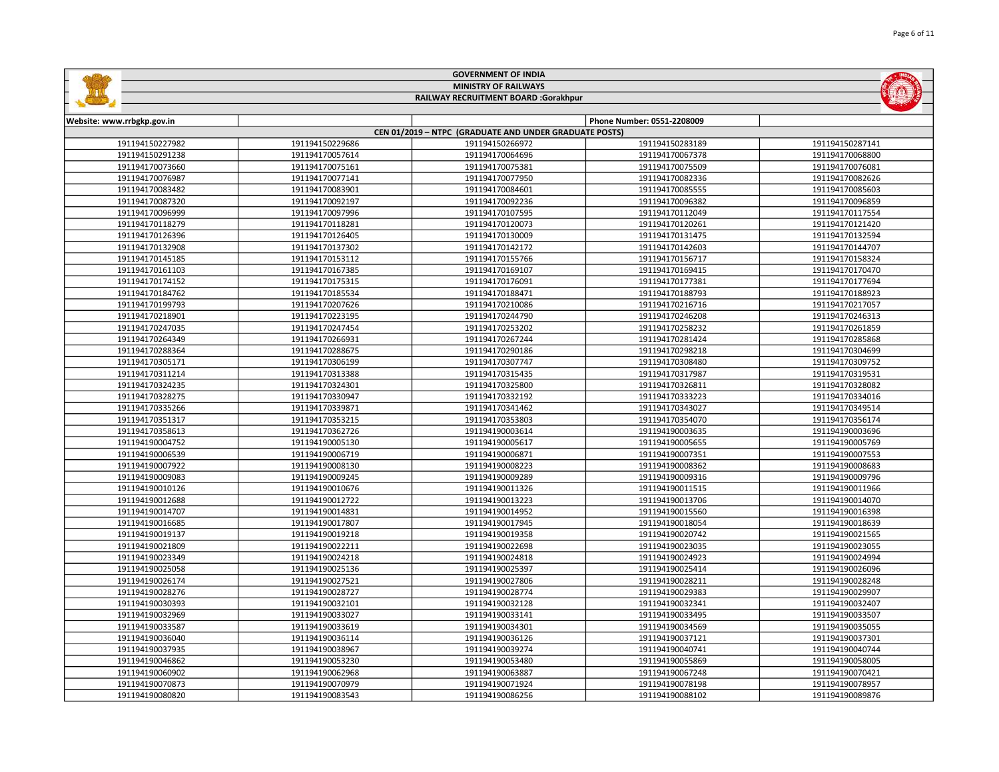|                            |                             | <b>GOVERNMENT OF INDIA</b>                             |                            |                 |  |
|----------------------------|-----------------------------|--------------------------------------------------------|----------------------------|-----------------|--|
|                            | <b>MINISTRY OF RAILWAYS</b> |                                                        |                            |                 |  |
|                            |                             | RAILWAY RECRUITMENT BOARD :Gorakhpur                   |                            |                 |  |
|                            |                             |                                                        |                            |                 |  |
| Website: www.rrbgkp.gov.in |                             |                                                        | Phone Number: 0551-2208009 |                 |  |
|                            |                             | CEN 01/2019 - NTPC (GRADUATE AND UNDER GRADUATE POSTS) |                            |                 |  |
| 191194150227982            | 191194150229686             | 191194150266972                                        | 191194150283189            | 191194150287141 |  |
| 191194150291238            | 191194170057614             | 191194170064696                                        | 191194170067378            | 191194170068800 |  |
| 191194170073660            | 191194170075161             | 191194170075381                                        | 191194170075509            | 191194170076081 |  |
| 191194170076987            | 191194170077141             | 191194170077950                                        | 191194170082336            | 191194170082626 |  |
| 191194170083482            | 191194170083901             | 191194170084601                                        | 191194170085555            | 191194170085603 |  |
| 191194170087320            | 191194170092197             | 191194170092236                                        | 191194170096382            | 191194170096859 |  |
| 191194170096999            | 191194170097996             | 191194170107595                                        | 191194170112049            | 191194170117554 |  |
| 191194170118279            | 191194170118281             | 191194170120073                                        | 191194170120261            | 191194170121420 |  |
| 191194170126396            | 191194170126405             | 191194170130009                                        | 191194170131475            | 191194170132594 |  |
| 191194170132908            | 191194170137302             | 191194170142172                                        | 191194170142603            | 191194170144707 |  |
| 191194170145185            | 191194170153112             | 191194170155766                                        | 191194170156717            | 191194170158324 |  |
| 191194170161103            | 191194170167385             | 191194170169107                                        | 191194170169415            | 191194170170470 |  |
| 191194170174152            | 191194170175315             | 191194170176091                                        | 191194170177381            | 191194170177694 |  |
| 191194170184762            | 191194170185534             | 191194170188471                                        | 191194170188793            | 191194170188923 |  |
| 191194170199793            | 191194170207626             | 191194170210086                                        | 191194170216716            | 191194170217057 |  |
| 191194170218901            | 191194170223195             | 191194170244790                                        | 191194170246208            | 191194170246313 |  |
| 191194170247035            | 191194170247454             | 191194170253202                                        | 191194170258232            | 191194170261859 |  |
| 191194170264349            | 191194170266931             | 191194170267244                                        | 191194170281424            | 191194170285868 |  |
| 191194170288364            | 191194170288675             | 191194170290186                                        | 191194170298218            | 191194170304699 |  |
| 191194170305171            | 191194170306199             | 191194170307747                                        | 191194170308480            | 191194170309752 |  |
| 191194170311214            | 191194170313388             | 191194170315435                                        | 191194170317987            | 191194170319531 |  |
| 191194170324235            | 191194170324301             | 191194170325800                                        | 191194170326811            | 191194170328082 |  |
| 191194170328275            | 191194170330947             | 191194170332192                                        | 191194170333223            | 191194170334016 |  |
| 191194170335266            | 191194170339871             | 191194170341462                                        | 191194170343027            | 191194170349514 |  |
| 191194170351317            | 191194170353215             | 191194170353803                                        | 191194170354070            | 191194170356174 |  |
| 191194170358613            | 191194170362726             | 191194190003614                                        | 191194190003635            | 191194190003696 |  |
| 191194190004752            | 191194190005130             | 191194190005617                                        | 191194190005655            | 191194190005769 |  |
| 191194190006539            | 191194190006719             | 191194190006871                                        | 191194190007351            | 191194190007553 |  |
| 191194190007922            | 191194190008130             | 191194190008223                                        | 191194190008362            | 191194190008683 |  |
| 191194190009083            | 191194190009245             | 191194190009289                                        | 191194190009316            | 191194190009796 |  |
| 191194190010126            | 191194190010676             | 191194190011326                                        | 191194190011515            | 191194190011966 |  |
| 191194190012688            | 191194190012722             | 191194190013223                                        | 191194190013706            | 191194190014070 |  |
| 191194190014707            | 191194190014831             | 191194190014952                                        | 191194190015560            | 191194190016398 |  |
| 191194190016685            | 191194190017807             | 191194190017945                                        | 191194190018054            | 191194190018639 |  |
| 191194190019137            | 191194190019218             | 191194190019358                                        | 191194190020742            | 191194190021565 |  |
| 191194190021809            | 191194190022211             | 191194190022698                                        | 191194190023035            | 191194190023055 |  |
| 191194190023349            | 191194190024218             | 191194190024818                                        | 191194190024923            | 191194190024994 |  |
| 191194190025058            | 191194190025136             | 191194190025397                                        | 191194190025414            | 191194190026096 |  |
| 191194190026174            | 191194190027521             | 191194190027806                                        | 191194190028211            | 191194190028248 |  |
| 191194190028276            | 191194190028727             | 191194190028774                                        | 191194190029383            | 191194190029907 |  |
| 191194190030393            | 191194190032101             | 191194190032128                                        | 191194190032341            | 191194190032407 |  |
| 191194190032969            | 191194190033027             | 191194190033141                                        | 191194190033495            | 191194190033507 |  |
| 191194190033587            | 191194190033619             | 191194190034301                                        | 191194190034569            | 191194190035055 |  |
| 191194190036040            | 191194190036114             | 191194190036126                                        | 191194190037121            | 191194190037301 |  |
| 191194190037935            | 191194190038967             | 191194190039274                                        | 191194190040741            | 191194190040744 |  |
| 191194190046862            | 191194190053230             | 191194190053480                                        | 191194190055869            | 191194190058005 |  |
| 191194190060902            | 191194190062968             | 191194190063887                                        | 191194190067248            | 191194190070421 |  |
| 191194190070873            | 191194190070979             | 191194190071924                                        | 191194190078198            | 191194190078957 |  |
| 191194190080820            | 191194190083543             | 191194190086256                                        | 191194190088102            | 191194190089876 |  |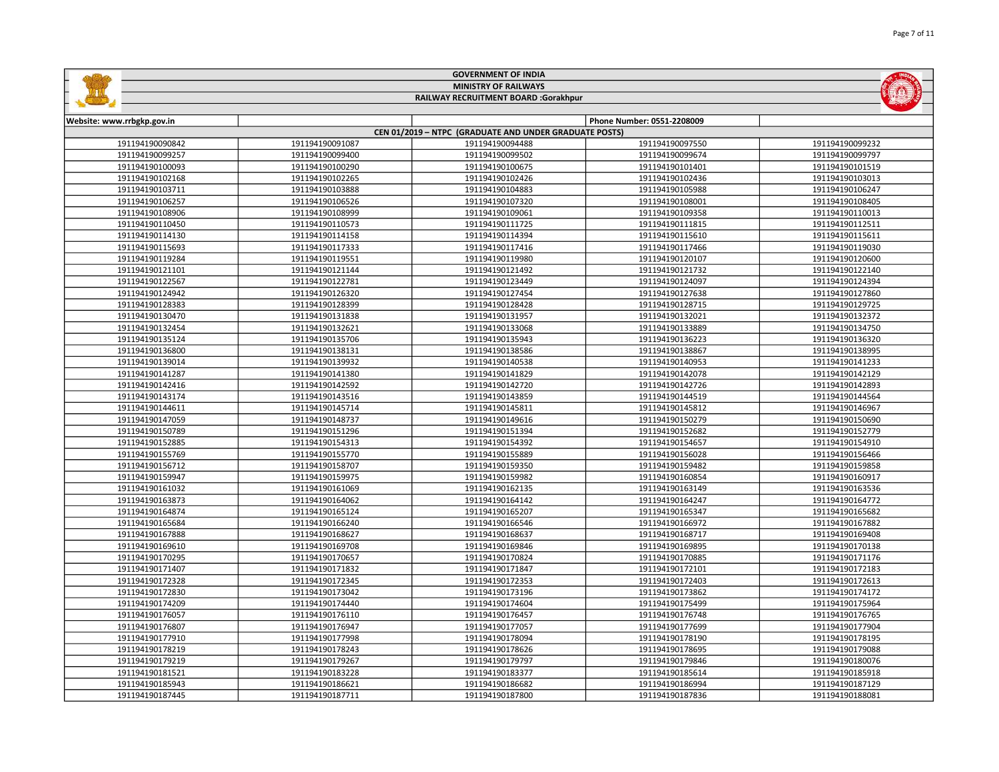|                                    |                                    | <b>GOVERNMENT OF INDIA</b>                             |                                    |                                    |  |
|------------------------------------|------------------------------------|--------------------------------------------------------|------------------------------------|------------------------------------|--|
|                                    | <b>MINISTRY OF RAILWAYS</b>        |                                                        |                                    |                                    |  |
|                                    |                                    | RAILWAY RECRUITMENT BOARD :Gorakhpur                   |                                    |                                    |  |
|                                    |                                    |                                                        |                                    |                                    |  |
| Website: www.rrbgkp.gov.in         |                                    |                                                        | Phone Number: 0551-2208009         |                                    |  |
|                                    |                                    | CEN 01/2019 - NTPC (GRADUATE AND UNDER GRADUATE POSTS) |                                    |                                    |  |
| 191194190090842                    | 191194190091087                    | 191194190094488                                        | 191194190097550                    | 191194190099232                    |  |
| 191194190099257                    | 191194190099400                    | 191194190099502                                        | 191194190099674                    | 191194190099797                    |  |
| 191194190100093                    | 191194190100290                    | 191194190100675                                        | 191194190101401                    | 191194190101519                    |  |
| 191194190102168                    | 191194190102265                    | 191194190102426                                        | 191194190102436                    | 191194190103013                    |  |
| 191194190103711                    | 191194190103888                    | 191194190104883                                        | 191194190105988                    | 191194190106247                    |  |
| 191194190106257                    | 191194190106526                    | 191194190107320                                        | 191194190108001                    | 191194190108405                    |  |
| 191194190108906                    | 191194190108999                    | 191194190109061                                        | 191194190109358                    | 191194190110013                    |  |
| 191194190110450                    | 191194190110573                    | 191194190111725                                        | 191194190111815                    | 191194190112511                    |  |
| 191194190114130                    | 191194190114158                    | 191194190114394                                        | 191194190115610                    | 191194190115611                    |  |
| 191194190115693                    | 191194190117333                    | 191194190117416                                        | 191194190117466                    | 191194190119030                    |  |
| 191194190119284                    | 191194190119551                    | 191194190119980                                        | 191194190120107                    | 191194190120600                    |  |
| 191194190121101                    | 191194190121144                    | 191194190121492                                        | 191194190121732                    | 191194190122140                    |  |
| 191194190122567                    | 191194190122781                    | 191194190123449                                        | 191194190124097                    | 191194190124394                    |  |
| 191194190124942                    | 191194190126320                    | 191194190127454                                        | 191194190127638                    | 191194190127860                    |  |
| 191194190128383                    | 191194190128399                    | 191194190128428                                        | 191194190128715                    | 191194190129725                    |  |
| 191194190130470                    | 191194190131838                    | 191194190131957                                        | 191194190132021                    | 191194190132372                    |  |
| 191194190132454                    | 191194190132621                    | 191194190133068                                        | 191194190133889                    | 191194190134750                    |  |
| 191194190135124                    | 191194190135706                    | 191194190135943                                        | 191194190136223                    | 191194190136320                    |  |
| 191194190136800                    | 191194190138131                    | 191194190138586                                        | 191194190138867                    | 191194190138995                    |  |
| 191194190139014                    | 191194190139932                    | 191194190140538                                        | 191194190140953                    | 191194190141233                    |  |
| 191194190141287                    | 191194190141380                    | 191194190141829                                        | 191194190142078                    | 191194190142129                    |  |
| 191194190142416                    | 191194190142592                    | 191194190142720                                        | 191194190142726                    | 191194190142893                    |  |
| 191194190143174                    | 191194190143516                    | 191194190143859                                        | 191194190144519                    | 191194190144564                    |  |
| 191194190144611                    | 191194190145714                    | 191194190145811                                        | 191194190145812                    | 191194190146967                    |  |
| 191194190147059                    | 191194190148737                    | 191194190149616                                        | 191194190150279                    | 191194190150690                    |  |
| 191194190150789                    | 191194190151296                    | 191194190151394                                        | 191194190152682                    | 191194190152779                    |  |
| 191194190152885                    | 191194190154313                    | 191194190154392                                        | 191194190154657                    | 191194190154910                    |  |
| 191194190155769                    | 191194190155770                    | 191194190155889                                        | 191194190156028                    | 191194190156466                    |  |
| 191194190156712                    | 191194190158707                    | 191194190159350                                        | 191194190159482                    | 191194190159858                    |  |
| 191194190159947                    | 191194190159975                    | 191194190159982                                        | 191194190160854                    | 191194190160917                    |  |
| 191194190161032                    | 191194190161069                    | 191194190162135                                        | 191194190163149                    | 191194190163536                    |  |
| 191194190163873                    | 191194190164062                    | 191194190164142                                        | 191194190164247                    | 191194190164772                    |  |
| 191194190164874                    | 191194190165124                    | 191194190165207                                        | 191194190165347                    | 191194190165682                    |  |
| 191194190165684                    | 191194190166240                    | 191194190166546                                        | 191194190166972                    | 191194190167882                    |  |
|                                    |                                    |                                                        |                                    |                                    |  |
| 191194190167888<br>191194190169610 | 191194190168627                    | 191194190168637                                        | 191194190168717                    | 191194190169408                    |  |
| 191194190170295                    | 191194190169708<br>191194190170657 | 191194190169846<br>191194190170824                     | 191194190169895<br>191194190170885 | 191194190170138<br>191194190171176 |  |
|                                    |                                    |                                                        |                                    |                                    |  |
| 191194190171407                    | 191194190171832                    | 191194190171847                                        | 191194190172101                    | 191194190172183                    |  |
| 191194190172328                    | 191194190172345                    | 191194190172353                                        | 191194190172403                    | 191194190172613                    |  |
| 191194190172830                    | 191194190173042                    | 191194190173196                                        | 191194190173862                    | 191194190174172                    |  |
| 191194190174209                    | 191194190174440                    | 191194190174604                                        | 191194190175499                    | 191194190175964                    |  |
| 191194190176057                    | 191194190176110                    | 191194190176457                                        | 191194190176748                    | 191194190176765                    |  |
| 191194190176807                    | 191194190176947                    | 191194190177057                                        | 191194190177699                    | 191194190177904                    |  |
| 191194190177910                    | 191194190177998                    | 191194190178094                                        | 191194190178190                    | 191194190178195                    |  |
| 191194190178219                    | 191194190178243                    | 191194190178626                                        | 191194190178695                    | 191194190179088                    |  |
| 191194190179219                    | 191194190179267                    | 191194190179797                                        | 191194190179846                    | 191194190180076                    |  |
| 191194190181521                    | 191194190183228                    | 191194190183377                                        | 191194190185614                    | 191194190185918                    |  |
| 191194190185943                    | 191194190186621                    | 191194190186682                                        | 191194190186994                    | 191194190187129                    |  |
| 191194190187445                    | 191194190187711                    | 191194190187800                                        | 191194190187836                    | 191194190188081                    |  |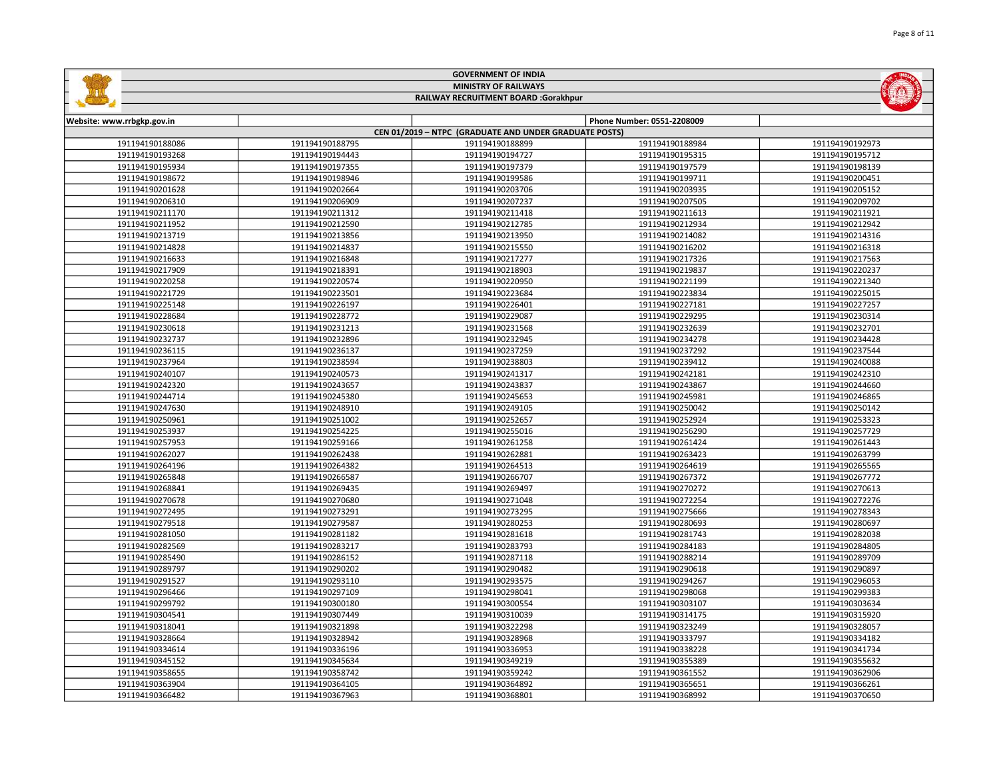|                            |                 | <b>GOVERNMENT OF INDIA</b>                             |                            |                 |
|----------------------------|-----------------|--------------------------------------------------------|----------------------------|-----------------|
|                            |                 | <b>MINISTRY OF RAILWAYS</b>                            |                            |                 |
|                            |                 | RAILWAY RECRUITMENT BOARD :Gorakhpur                   |                            |                 |
|                            |                 |                                                        |                            |                 |
| Website: www.rrbgkp.gov.in |                 |                                                        | Phone Number: 0551-2208009 |                 |
|                            |                 | CEN 01/2019 - NTPC (GRADUATE AND UNDER GRADUATE POSTS) |                            |                 |
| 191194190188086            | 191194190188795 | 191194190188899                                        | 191194190188984            | 191194190192973 |
| 191194190193268            | 191194190194443 | 191194190194727                                        | 191194190195315            | 191194190195712 |
| 191194190195934            | 191194190197355 | 191194190197379                                        | 191194190197579            | 191194190198139 |
| 191194190198672            | 191194190198946 | 191194190199586                                        | 191194190199711            | 191194190200451 |
| 191194190201628            | 191194190202664 | 191194190203706                                        | 191194190203935            | 191194190205152 |
| 191194190206310            | 191194190206909 | 191194190207237                                        | 191194190207505            | 191194190209702 |
| 191194190211170            | 191194190211312 | 191194190211418                                        | 191194190211613            | 191194190211921 |
| 191194190211952            | 191194190212590 | 191194190212785                                        | 191194190212934            | 191194190212942 |
| 191194190213719            | 191194190213856 | 191194190213950                                        | 191194190214082            | 191194190214316 |
| 191194190214828            | 191194190214837 | 191194190215550                                        | 191194190216202            | 191194190216318 |
| 191194190216633            | 191194190216848 | 191194190217277                                        | 191194190217326            | 191194190217563 |
| 191194190217909            | 191194190218391 | 191194190218903                                        | 191194190219837            | 191194190220237 |
| 191194190220258            | 191194190220574 | 191194190220950                                        | 191194190221199            | 191194190221340 |
| 191194190221729            | 191194190223501 | 191194190223684                                        | 191194190223834            | 191194190225015 |
| 191194190225148            | 191194190226197 | 191194190226401                                        | 191194190227181            | 191194190227257 |
| 191194190228684            | 191194190228772 | 191194190229087                                        | 191194190229295            | 191194190230314 |
| 191194190230618            | 191194190231213 | 191194190231568                                        | 191194190232639            | 191194190232701 |
| 191194190232737            | 191194190232896 | 191194190232945                                        | 191194190234278            | 191194190234428 |
| 191194190236115            | 191194190236137 | 191194190237259                                        | 191194190237292            | 191194190237544 |
| 191194190237964            | 191194190238594 | 191194190238803                                        | 191194190239412            | 191194190240088 |
| 191194190240107            | 191194190240573 | 191194190241317                                        | 191194190242181            | 191194190242310 |
| 191194190242320            | 191194190243657 | 191194190243837                                        | 191194190243867            | 191194190244660 |
| 191194190244714            | 191194190245380 | 191194190245653                                        | 191194190245981            | 191194190246865 |
| 191194190247630            | 191194190248910 | 191194190249105                                        | 191194190250042            | 191194190250142 |
| 191194190250961            | 191194190251002 | 191194190252657                                        | 191194190252924            | 191194190253323 |
| 191194190253937            | 191194190254225 | 191194190255016                                        | 191194190256290            | 191194190257729 |
| 191194190257953            | 191194190259166 | 191194190261258                                        | 191194190261424            | 191194190261443 |
| 191194190262027            | 191194190262438 | 191194190262881                                        | 191194190263423            | 191194190263799 |
| 191194190264196            | 191194190264382 | 191194190264513                                        | 191194190264619            | 191194190265565 |
| 191194190265848            | 191194190266587 | 191194190266707                                        | 191194190267372            | 191194190267772 |
| 191194190268841            | 191194190269435 | 191194190269497                                        | 191194190270272            | 191194190270613 |
| 191194190270678            | 191194190270680 | 191194190271048                                        | 191194190272254            | 191194190272276 |
| 191194190272495            | 191194190273291 | 191194190273295                                        | 191194190275666            | 191194190278343 |
| 191194190279518            | 191194190279587 | 191194190280253                                        | 191194190280693            | 191194190280697 |
| 191194190281050            | 191194190281182 | 191194190281618                                        | 191194190281743            | 191194190282038 |
| 191194190282569            | 191194190283217 | 191194190283793                                        | 191194190284183            | 191194190284805 |
| 191194190285490            | 191194190286152 | 191194190287118                                        | 191194190288214            | 191194190289709 |
| 191194190289797            | 191194190290202 | 191194190290482                                        | 191194190290618            | 191194190290897 |
| 191194190291527            | 191194190293110 | 191194190293575                                        | 191194190294267            | 191194190296053 |
| 191194190296466            | 191194190297109 | 191194190298041                                        | 191194190298068            | 191194190299383 |
| 191194190299792            | 191194190300180 | 191194190300554                                        | 191194190303107            | 191194190303634 |
| 191194190304541            | 191194190307449 | 191194190310039                                        | 191194190314175            | 191194190315920 |
| 191194190318041            | 191194190321898 | 191194190322298                                        | 191194190323249            | 191194190328057 |
| 191194190328664            | 191194190328942 | 191194190328968                                        | 191194190333797            | 191194190334182 |
| 191194190334614            | 191194190336196 | 191194190336953                                        | 191194190338228            | 191194190341734 |
| 191194190345152            | 191194190345634 | 191194190349219                                        | 191194190355389            | 191194190355632 |
| 191194190358655            | 191194190358742 | 191194190359242                                        | 191194190361552            | 191194190362906 |
| 191194190363904            | 191194190364105 | 191194190364892                                        | 191194190365651            | 191194190366261 |
| 191194190366482            | 191194190367963 | 191194190368801                                        | 191194190368992            | 191194190370650 |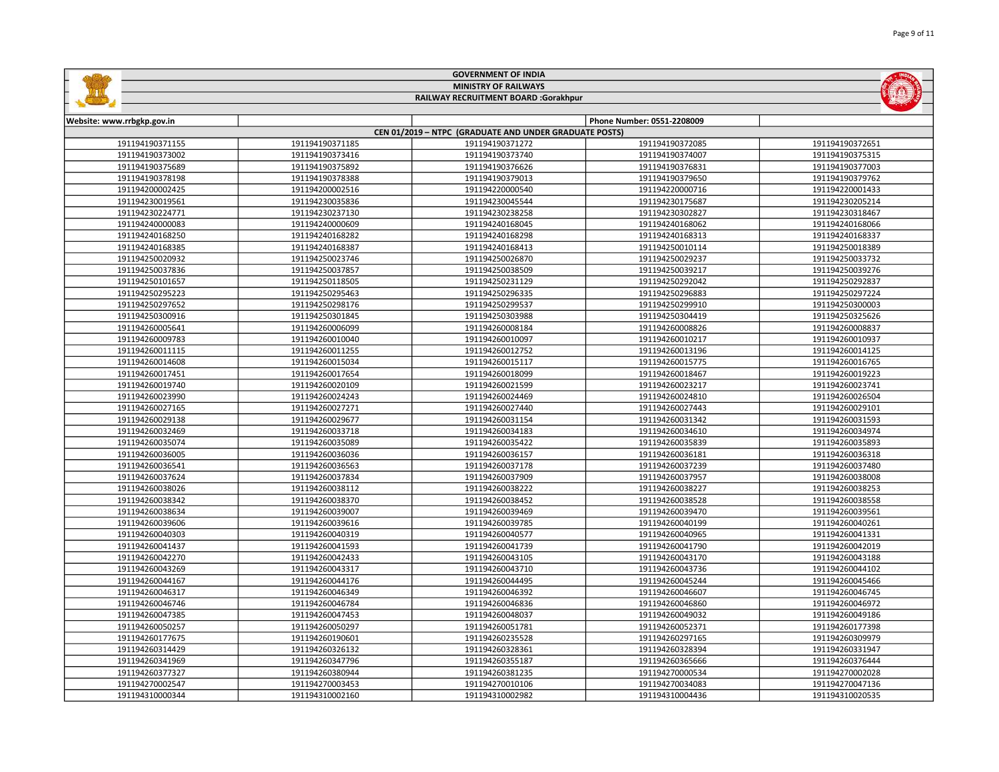|                            |                             | <b>GOVERNMENT OF INDIA</b>                             |                            |                 |  |  |
|----------------------------|-----------------------------|--------------------------------------------------------|----------------------------|-----------------|--|--|
|                            | <b>MINISTRY OF RAILWAYS</b> |                                                        |                            |                 |  |  |
|                            |                             | RAILWAY RECRUITMENT BOARD :Gorakhpur                   |                            |                 |  |  |
|                            |                             |                                                        |                            |                 |  |  |
| Website: www.rrbgkp.gov.in |                             |                                                        | Phone Number: 0551-2208009 |                 |  |  |
|                            |                             | CEN 01/2019 - NTPC (GRADUATE AND UNDER GRADUATE POSTS) |                            |                 |  |  |
| 191194190371155            | 191194190371185             | 191194190371272                                        | 191194190372085            | 191194190372651 |  |  |
| 191194190373002            | 191194190373416             | 191194190373740                                        | 191194190374007            | 191194190375315 |  |  |
| 191194190375689            | 191194190375892             | 191194190376626                                        | 191194190376831            | 191194190377003 |  |  |
| 191194190378198            | 191194190378388             | 191194190379013                                        | 191194190379650            | 191194190379762 |  |  |
| 191194200002425            | 191194200002516             | 191194220000540                                        | 191194220000716            | 191194220001433 |  |  |
| 191194230019561            | 191194230035836             | 191194230045544                                        | 191194230175687            | 191194230205214 |  |  |
| 191194230224771            | 191194230237130             | 191194230238258                                        | 191194230302827            | 191194230318467 |  |  |
| 191194240000083            | 191194240000609             | 191194240168045                                        | 191194240168062            | 191194240168066 |  |  |
| 191194240168250            | 191194240168282             | 191194240168298                                        | 191194240168313            | 191194240168337 |  |  |
| 191194240168385            | 191194240168387             | 191194240168413                                        | 191194250010114            | 191194250018389 |  |  |
| 191194250020932            | 191194250023746             | 191194250026870                                        | 191194250029237            | 191194250033732 |  |  |
| 191194250037836            | 191194250037857             | 191194250038509                                        | 191194250039217            | 191194250039276 |  |  |
| 191194250101657            | 191194250118505             | 191194250231129                                        | 191194250292042            | 191194250292837 |  |  |
| 191194250295223            | 191194250295463             | 191194250296335                                        | 191194250296883            | 191194250297224 |  |  |
| 191194250297652            | 191194250298176             | 191194250299537                                        | 191194250299910            | 191194250300003 |  |  |
| 191194250300916            | 191194250301845             | 191194250303988                                        | 191194250304419            | 191194250325626 |  |  |
| 191194260005641            | 191194260006099             | 191194260008184                                        | 191194260008826            | 191194260008837 |  |  |
| 191194260009783            | 191194260010040             | 191194260010097                                        | 191194260010217            | 191194260010937 |  |  |
| 191194260011115            | 191194260011255             | 191194260012752                                        | 191194260013196            | 191194260014125 |  |  |
| 191194260014608            | 191194260015034             | 191194260015117                                        | 191194260015775            | 191194260016765 |  |  |
| 191194260017451            | 191194260017654             | 191194260018099                                        | 191194260018467            | 191194260019223 |  |  |
| 191194260019740            | 191194260020109             | 191194260021599                                        | 191194260023217            | 191194260023741 |  |  |
| 191194260023990            | 191194260024243             | 191194260024469                                        | 191194260024810            | 191194260026504 |  |  |
| 191194260027165            | 191194260027271             | 191194260027440                                        | 191194260027443            | 191194260029101 |  |  |
| 191194260029138            | 191194260029677             | 191194260031154                                        | 191194260031342            | 191194260031593 |  |  |
| 191194260032469            | 191194260033718             | 191194260034183                                        | 191194260034610            | 191194260034974 |  |  |
| 191194260035074            | 191194260035089             | 191194260035422                                        | 191194260035839            | 191194260035893 |  |  |
| 191194260036005            | 191194260036036             | 191194260036157                                        | 191194260036181            | 191194260036318 |  |  |
| 191194260036541            | 191194260036563             | 191194260037178                                        | 191194260037239            | 191194260037480 |  |  |
| 191194260037624            | 191194260037834             | 191194260037909                                        | 191194260037957            | 191194260038008 |  |  |
| 191194260038026            | 191194260038112             | 191194260038222                                        | 191194260038227            | 191194260038253 |  |  |
| 191194260038342            | 191194260038370             | 191194260038452                                        | 191194260038528            | 191194260038558 |  |  |
| 191194260038634            | 191194260039007             | 191194260039469                                        | 191194260039470            | 191194260039561 |  |  |
| 191194260039606            | 191194260039616             | 191194260039785                                        | 191194260040199            | 191194260040261 |  |  |
| 191194260040303            | 191194260040319             | 191194260040577                                        | 191194260040965            | 191194260041331 |  |  |
| 191194260041437            | 191194260041593             | 191194260041739                                        | 191194260041790            | 191194260042019 |  |  |
| 191194260042270            | 191194260042433             | 191194260043105                                        | 191194260043170            | 191194260043188 |  |  |
| 191194260043269            | 191194260043317             | 191194260043710                                        | 191194260043736            | 191194260044102 |  |  |
| 191194260044167            | 191194260044176             | 191194260044495                                        | 191194260045244            | 191194260045466 |  |  |
| 191194260046317            | 191194260046349             | 191194260046392                                        | 191194260046607            | 191194260046745 |  |  |
| 191194260046746            | 191194260046784             | 191194260046836                                        | 191194260046860            | 191194260046972 |  |  |
| 191194260047385            | 191194260047453             | 191194260048037                                        | 191194260049032            | 191194260049186 |  |  |
| 191194260050257            | 191194260050297             | 191194260051781                                        | 191194260052371            | 191194260177398 |  |  |
| 191194260177675            | 191194260190601             | 191194260235528                                        | 191194260297165            | 191194260309979 |  |  |
| 191194260314429            | 191194260326132             | 191194260328361                                        | 191194260328394            | 191194260331947 |  |  |
| 191194260341969            | 191194260347796             | 191194260355187                                        | 191194260365666            | 191194260376444 |  |  |
| 191194260377327            | 191194260380944             | 191194260381235                                        | 191194270000534            | 191194270002028 |  |  |
| 191194270002547            | 191194270003453             | 191194270010106                                        | 191194270034083            | 191194270047136 |  |  |
| 191194310000344            | 191194310002160             | 191194310002982                                        | 191194310004436            | 191194310020535 |  |  |
|                            |                             |                                                        |                            |                 |  |  |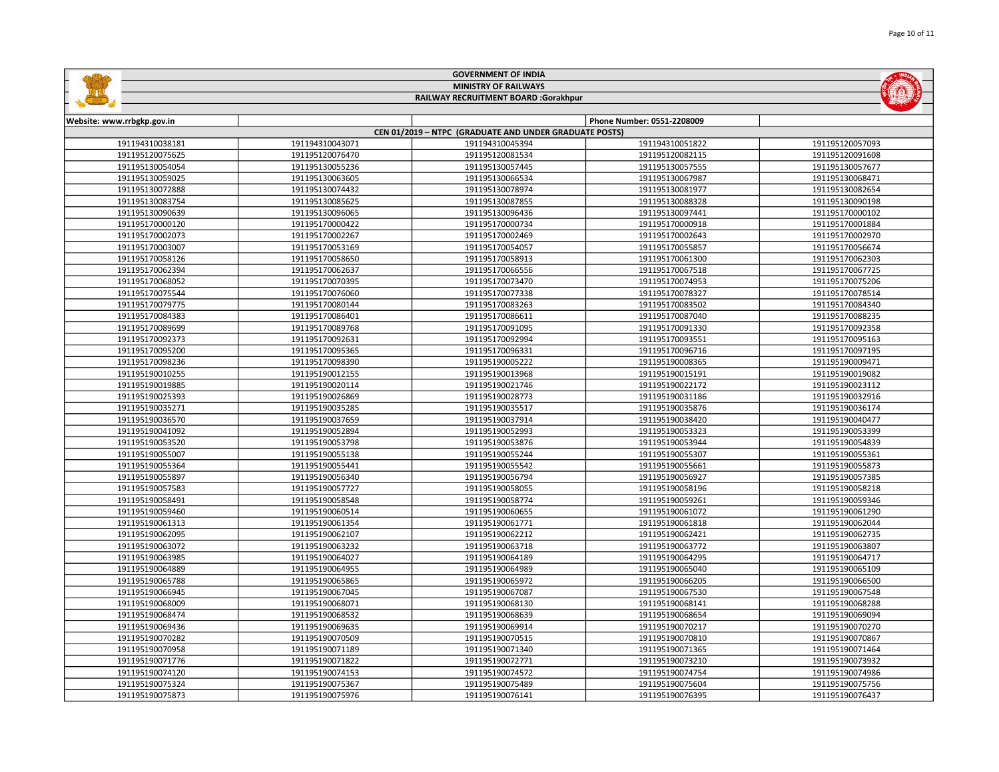|                            |                 | <b>GOVERNMENT OF INDIA</b>                             |                            |                 |
|----------------------------|-----------------|--------------------------------------------------------|----------------------------|-----------------|
|                            |                 | <b>MINISTRY OF RAILWAYS</b>                            |                            |                 |
|                            |                 | RAILWAY RECRUITMENT BOARD :Gorakhpur                   |                            |                 |
|                            |                 |                                                        |                            |                 |
| Website: www.rrbgkp.gov.in |                 |                                                        | Phone Number: 0551-2208009 |                 |
|                            |                 | CEN 01/2019 - NTPC (GRADUATE AND UNDER GRADUATE POSTS) |                            |                 |
| 191194310038181            | 191194310043071 | 191194310045394                                        | 191194310051822            | 191195120057093 |
| 191195120075625            | 191195120076470 | 191195120081534                                        | 191195120082115            | 191195120091608 |
| 191195130054054            | 191195130055236 | 191195130057445                                        | 191195130057555            | 191195130057677 |
| 191195130059025            | 191195130063605 | 191195130066534                                        | 191195130067987            | 191195130068471 |
| 191195130072888            | 191195130074432 | 191195130078974                                        | 191195130081977            | 191195130082654 |
| 191195130083754            | 191195130085625 | 191195130087855                                        | 191195130088328            | 191195130090198 |
| 191195130090639            | 191195130096065 | 191195130096436                                        | 191195130097441            | 191195170000102 |
| 191195170000120            | 191195170000422 | 191195170000734                                        | 191195170000918            | 191195170001884 |
| 191195170002073            | 191195170002267 | 191195170002469                                        | 191195170002643            | 191195170002970 |
| 191195170003007            | 191195170053169 | 191195170054057                                        | 191195170055857            | 191195170056674 |
| 191195170058126            | 191195170058650 | 191195170058913                                        | 191195170061300            | 191195170062303 |
| 191195170062394            | 191195170062637 | 191195170066556                                        | 191195170067518            | 191195170067725 |
| 191195170068052            | 191195170070395 | 191195170073470                                        | 191195170074953            | 191195170075206 |
| 191195170075544            | 191195170076060 | 191195170077338                                        | 191195170078327            | 191195170078514 |
| 191195170079775            | 191195170080144 | 191195170083263                                        | 191195170083502            | 191195170084340 |
| 191195170084383            | 191195170086401 | 191195170086611                                        | 191195170087040            | 191195170088235 |
| 191195170089699            | 191195170089768 | 191195170091095                                        | 191195170091330            | 191195170092358 |
| 191195170092373            | 191195170092631 | 191195170092994                                        | 191195170093551            | 191195170095163 |
| 191195170095200            | 191195170095365 | 191195170096331                                        | 191195170096716            | 191195170097195 |
| 191195170098236            | 191195170098390 | 191195190005222                                        | 191195190008365            | 191195190009471 |
| 191195190010255            | 191195190012155 | 191195190013968                                        | 191195190015191            | 191195190019082 |
| 191195190019885            | 191195190020114 | 191195190021746                                        | 191195190022172            | 191195190023112 |
| 191195190025393            | 191195190026869 | 191195190028773                                        | 191195190031186            | 191195190032916 |
| 191195190035271            | 191195190035285 | 191195190035517                                        | 191195190035876            | 191195190036174 |
| 191195190036570            | 191195190037659 | 191195190037914                                        | 191195190038420            | 191195190040477 |
| 191195190041092            | 191195190052894 | 191195190052993                                        | 191195190053323            | 191195190053399 |
| 191195190053520            | 191195190053798 | 191195190053876                                        | 191195190053944            | 191195190054839 |
| 191195190055007            | 191195190055138 | 191195190055244                                        | 191195190055307            | 191195190055361 |
| 191195190055364            | 191195190055441 | 191195190055542                                        | 191195190055661            | 191195190055873 |
| 191195190055897            | 191195190056340 | 191195190056794                                        | 191195190056927            | 191195190057385 |
| 191195190057583            | 191195190057727 | 191195190058055                                        | 191195190058196            | 191195190058218 |
| 191195190058491            | 191195190058548 | 191195190058774                                        | 191195190059261            | 191195190059346 |
| 191195190059460            | 191195190060514 | 191195190060655                                        | 191195190061072            | 191195190061290 |
| 191195190061313            | 191195190061354 | 191195190061771                                        | 191195190061818            | 191195190062044 |
| 191195190062095            | 191195190062107 | 191195190062212                                        | 191195190062421            | 191195190062735 |
| 191195190063072            | 191195190063232 | 191195190063718                                        | 191195190063772            | 191195190063807 |
| 191195190063985            | 191195190064027 | 191195190064189                                        | 191195190064295            | 191195190064717 |
| 191195190064889            | 191195190064955 | 191195190064989                                        | 191195190065040            | 191195190065109 |
| 191195190065788            | 191195190065865 | 191195190065972                                        | 191195190066205            | 191195190066500 |
| 191195190066945            | 191195190067045 | 191195190067087                                        | 191195190067530            | 191195190067548 |
| 191195190068009            | 191195190068071 | 191195190068130                                        | 191195190068141            | 191195190068288 |
| 191195190068474            | 191195190068532 | 191195190068639                                        | 191195190068654            | 191195190069094 |
| 191195190069436            | 191195190069635 | 191195190069914                                        | 191195190070217            | 191195190070270 |
| 191195190070282            | 191195190070509 | 191195190070515                                        | 191195190070810            | 191195190070867 |
| 191195190070958            | 191195190071189 | 191195190071340                                        | 191195190071365            | 191195190071464 |
| 191195190071776            | 191195190071822 | 191195190072771                                        | 191195190073210            | 191195190073932 |
| 191195190074120            | 191195190074153 | 191195190074572                                        | 191195190074754            | 191195190074986 |
| 191195190075324            | 191195190075367 | 191195190075489                                        | 191195190075604            | 191195190075756 |

191195190075976 191195190076141 191195190076395 191195190076437